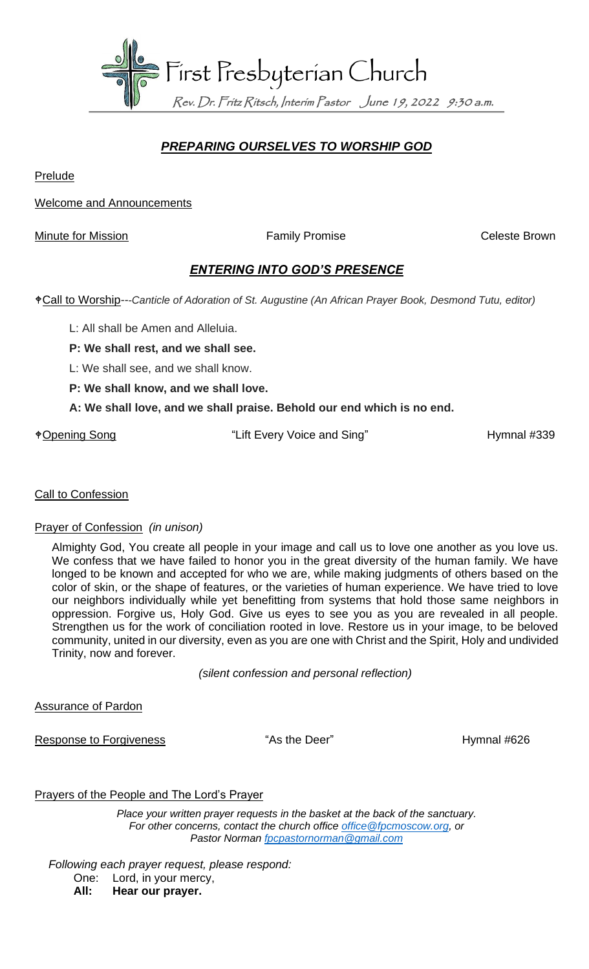

## *PREPARING OURSELVES TO WORSHIP GOD*

**Prelude** 

Welcome and Announcements

Minute for Mission **Family Promise** Family Promise Celeste Brown

### *ENTERING INTO GOD'S PRESENCE*

Call to Worship*---Canticle of Adoration of St. Augustine (An African Prayer Book, Desmond Tutu, editor)*

- L: All shall be Amen and Alleluia.
- **P: We shall rest, and we shall see.**
- L: We shall see, and we shall know.
- **P: We shall know, and we shall love.**

#### **A: We shall love, and we shall praise. Behold our end which is no end.**

\*Opening Song The "Lift Every Voice and Sing" Hymnal #339

#### **Call to Confession**

#### Prayer of Confession *(in unison)*

Almighty God, You create all people in your image and call us to love one another as you love us. We confess that we have failed to honor you in the great diversity of the human family. We have longed to be known and accepted for who we are, while making judgments of others based on the color of skin, or the shape of features, or the varieties of human experience. We have tried to love our neighbors individually while yet benefitting from systems that hold those same neighbors in oppression. Forgive us, Holy God. Give us eyes to see you as you are revealed in all people. Strengthen us for the work of conciliation rooted in love. Restore us in your image, to be beloved community, united in our diversity, even as you are one with Christ and the Spirit, Holy and undivided Trinity, now and forever.

*(silent confession and personal reflection)*

Assurance of Pardon

Response to Forgiveness **Exercise 19 and 1998** "As the Deer" **Hymnal #626** 

#### Prayers of the People and The Lord's Prayer

*Place your written prayer requests in the basket at the back of the sanctuary. For other concerns, contact the church office [office@fpcmoscow.org,](mailto:office@fpcmoscow.org) or Pastor Norman [fpcpastornorman@gmail.com](mailto:fpcpastornorman@gmail.com)*

*Following each prayer request, please respond:*

- One: Lord, in your mercy,
- **All: Hear our prayer.**